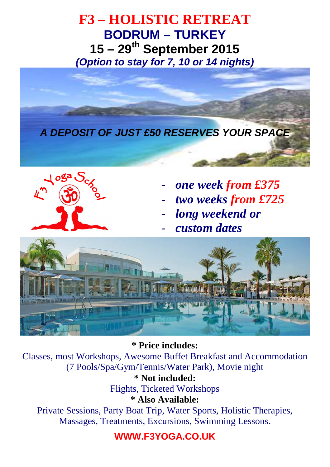**F3 – HOLISTIC RETREAT BODRUM – TURKEY 15 – 29th September 2015 (Option to stay for 7, 10 or 14 nights)** 





- *one week from £375*
- *two weeks from £725*
- long weekend or
- *custom dates*



**\* Price includes:**  Classes, most Workshops, Awesome Buffet Breakfast and Accommodation (7 Pools/Spa/Gym/Tennis/Water Park), Movie night

**\* Not included:**  Flights, Ticketed Workshops

**\* Also Available:** 

Private Sessions, Party Boat Trip, Water Sports, Holistic Therapies, Massages, Treatments, Excursions, Swimming Lessons.

## **WWW.F3YOGA.CO.UK**